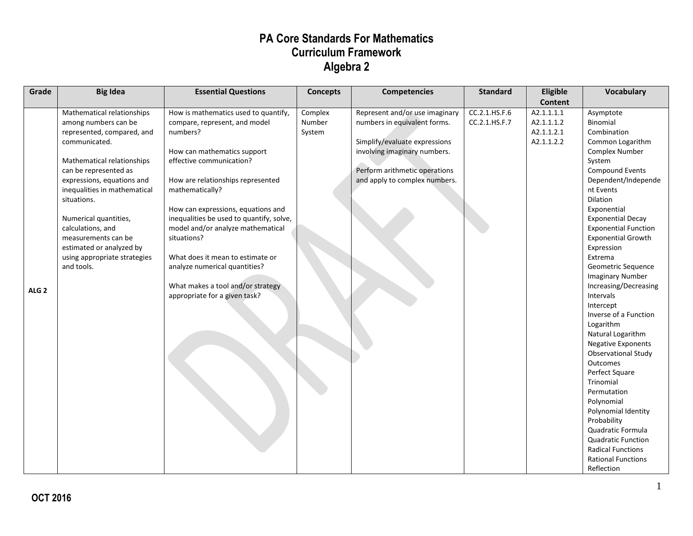| Grade | <b>Big Idea</b>              | <b>Essential Questions</b>               | <b>Concepts</b> | <b>Competencies</b>            | <b>Standard</b> | Eligible       | Vocabulary                  |
|-------|------------------------------|------------------------------------------|-----------------|--------------------------------|-----------------|----------------|-----------------------------|
|       |                              |                                          |                 |                                |                 | <b>Content</b> |                             |
|       | Mathematical relationships   | How is mathematics used to quantify,     | Complex         | Represent and/or use imaginary | CC.2.1.HS.F.6   | A2.1.1.1.1     | Asymptote                   |
|       | among numbers can be         | compare, represent, and model            | Number          | numbers in equivalent forms.   | CC.2.1.HS.F.7   | A2.1.1.1.2     | Binomial                    |
|       | represented, compared, and   | numbers?                                 | System          |                                |                 | A2.1.1.2.1     | Combination                 |
|       | communicated.                |                                          |                 | Simplify/evaluate expressions  |                 | A2.1.1.2.2     | Common Logarithm            |
|       |                              | How can mathematics support              |                 | involving imaginary numbers.   |                 |                | <b>Complex Number</b>       |
|       | Mathematical relationships   | effective communication?                 |                 |                                |                 |                | System                      |
|       | can be represented as        |                                          |                 | Perform arithmetic operations  |                 |                | <b>Compound Events</b>      |
|       | expressions, equations and   | How are relationships represented        |                 | and apply to complex numbers.  |                 |                | Dependent/Independe         |
|       | inequalities in mathematical | mathematically?                          |                 |                                |                 |                | nt Events                   |
|       | situations.                  |                                          |                 |                                |                 |                | Dilation                    |
|       |                              | How can expressions, equations and       |                 |                                |                 |                | Exponential                 |
|       | Numerical quantities,        | inequalities be used to quantify, solve, |                 |                                |                 |                | <b>Exponential Decay</b>    |
|       | calculations, and            | model and/or analyze mathematical        |                 |                                |                 |                | <b>Exponential Function</b> |
|       | measurements can be          | situations?                              |                 |                                |                 |                | <b>Exponential Growth</b>   |
|       | estimated or analyzed by     |                                          |                 |                                |                 |                | Expression                  |
|       | using appropriate strategies | What does it mean to estimate or         |                 |                                |                 |                | Extrema                     |
|       | and tools.                   | analyze numerical quantities?            |                 |                                |                 |                | Geometric Sequence          |
|       |                              |                                          |                 |                                |                 |                | <b>Imaginary Number</b>     |
| ALG 2 |                              | What makes a tool and/or strategy        |                 |                                |                 |                | Increasing/Decreasing       |
|       |                              | appropriate for a given task?            |                 |                                |                 |                | Intervals                   |
|       |                              |                                          |                 |                                |                 |                | Intercept                   |
|       |                              |                                          |                 |                                |                 |                | Inverse of a Function       |
|       |                              |                                          |                 |                                |                 |                | Logarithm                   |
|       |                              |                                          |                 |                                |                 |                | Natural Logarithm           |
|       |                              |                                          |                 |                                |                 |                | <b>Negative Exponents</b>   |
|       |                              |                                          |                 |                                |                 |                | <b>Observational Study</b>  |
|       |                              |                                          |                 |                                |                 |                | <b>Outcomes</b>             |
|       |                              |                                          |                 |                                |                 |                | Perfect Square              |
|       |                              |                                          |                 |                                |                 |                | <b>Trinomial</b>            |
|       |                              |                                          |                 |                                |                 |                | Permutation                 |
|       |                              |                                          |                 |                                |                 |                | Polynomial                  |
|       |                              |                                          |                 |                                |                 |                | Polynomial Identity         |
|       |                              |                                          |                 |                                |                 |                | Probability                 |
|       |                              |                                          |                 |                                |                 |                | Quadratic Formula           |
|       |                              |                                          |                 |                                |                 |                | <b>Quadratic Function</b>   |
|       |                              |                                          |                 |                                |                 |                | <b>Radical Functions</b>    |
|       |                              |                                          |                 |                                |                 |                | <b>Rational Functions</b>   |
|       |                              |                                          |                 |                                |                 |                | Reflection                  |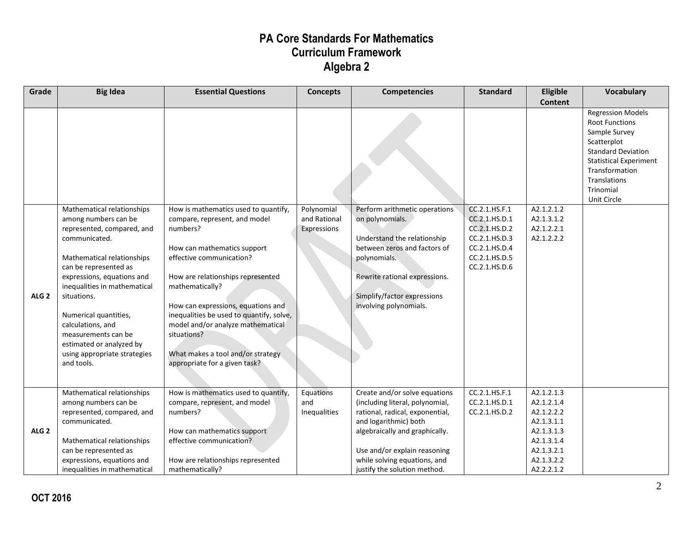| Grade            | <b>Big Idea</b>                                          | <b>Essential Questions</b>               | <b>Concepts</b> | <b>Competencies</b>             | <b>Standard</b> | Eligible       | <b>Vocabulary</b>                               |
|------------------|----------------------------------------------------------|------------------------------------------|-----------------|---------------------------------|-----------------|----------------|-------------------------------------------------|
|                  |                                                          |                                          |                 |                                 |                 | <b>Content</b> |                                                 |
|                  |                                                          |                                          |                 |                                 |                 |                | <b>Regression Models</b>                        |
|                  |                                                          |                                          |                 |                                 |                 |                | <b>Root Functions</b>                           |
|                  |                                                          |                                          |                 |                                 |                 |                | Sample Survey                                   |
|                  |                                                          |                                          |                 |                                 |                 |                | Scatterplot                                     |
|                  |                                                          |                                          |                 |                                 |                 |                | <b>Standard Deviation</b>                       |
|                  |                                                          |                                          |                 |                                 |                 |                | <b>Statistical Experiment</b><br>Transformation |
|                  |                                                          |                                          |                 |                                 |                 |                | Translations                                    |
|                  |                                                          |                                          |                 |                                 |                 |                | Trinomial                                       |
|                  |                                                          |                                          |                 |                                 |                 |                | Unit Circle                                     |
|                  | Mathematical relationships                               | How is mathematics used to quantify,     | Polynomial      | Perform arithmetic operations   | CC.2.1.HS.F.1   | A2.1.2.1.2     |                                                 |
|                  | among numbers can be                                     | compare, represent, and model            | and Rational    | on polynomials.                 | CC.2.1.HS.D.1   | A2.1.3.1.2     |                                                 |
|                  | represented, compared, and                               | numbers?                                 | Expressions     |                                 | CC.2.1.HS.D.2   | A2.1.2.2.1     |                                                 |
|                  | communicated.                                            |                                          |                 | Understand the relationship     | CC.2.1.HS.D.3   | A2.1.2.2.2     |                                                 |
|                  |                                                          | How can mathematics support              |                 | between zeros and factors of    | CC.2.1.HS.D.4   |                |                                                 |
|                  | Mathematical relationships                               | effective communication?                 |                 | polynomials.                    | CC.2.1.HS.D.5   |                |                                                 |
|                  | can be represented as                                    |                                          |                 |                                 | CC.2.1.HS.D.6   |                |                                                 |
|                  | expressions, equations and                               | How are relationships represented        |                 | Rewrite rational expressions.   |                 |                |                                                 |
|                  | inequalities in mathematical                             | mathematically?                          |                 |                                 |                 |                |                                                 |
| ALG <sub>2</sub> | situations.                                              |                                          |                 | Simplify/factor expressions     |                 |                |                                                 |
|                  |                                                          | How can expressions, equations and       |                 | involving polynomials.          |                 |                |                                                 |
|                  | Numerical quantities,                                    | inequalities be used to quantify, solve, |                 |                                 |                 |                |                                                 |
|                  | calculations, and                                        | model and/or analyze mathematical        |                 |                                 |                 |                |                                                 |
|                  | measurements can be                                      | situations?                              |                 |                                 |                 |                |                                                 |
|                  | estimated or analyzed by<br>using appropriate strategies | What makes a tool and/or strategy        |                 |                                 |                 |                |                                                 |
|                  | and tools.                                               | appropriate for a given task?            |                 |                                 |                 |                |                                                 |
|                  |                                                          |                                          |                 |                                 |                 |                |                                                 |
|                  |                                                          |                                          |                 |                                 |                 |                |                                                 |
|                  | Mathematical relationships                               | How is mathematics used to quantify,     | Equations       | Create and/or solve equations   | CC.2.1.HS.F.1   | A2.1.2.1.3     |                                                 |
|                  | among numbers can be                                     | compare, represent, and model            | and             | (including literal, polynomial, | CC.2.1.HS.D.1   | A2.1.2.1.4     |                                                 |
|                  | represented, compared, and                               | numbers?                                 | Inequalities    | rational, radical, exponential, | CC.2.1.HS.D.2   | A2.1.2.2.2     |                                                 |
|                  | communicated.                                            |                                          |                 | and logarithmic) both           |                 | A2.1.3.1.1     |                                                 |
| ALG <sub>2</sub> |                                                          | How can mathematics support              |                 | algebraically and graphically.  |                 | A2.1.3.1.3     |                                                 |
|                  | Mathematical relationships                               | effective communication?                 |                 |                                 |                 | A2.1.3.1.4     |                                                 |
|                  | can be represented as                                    |                                          |                 | Use and/or explain reasoning    |                 | A2.1.3.2.1     |                                                 |
|                  | expressions, equations and                               | How are relationships represented        |                 | while solving equations, and    |                 | A2.1.3.2.2     |                                                 |
|                  | inequalities in mathematical                             | mathematically?                          |                 | justify the solution method.    |                 | A2.2.2.1.2     |                                                 |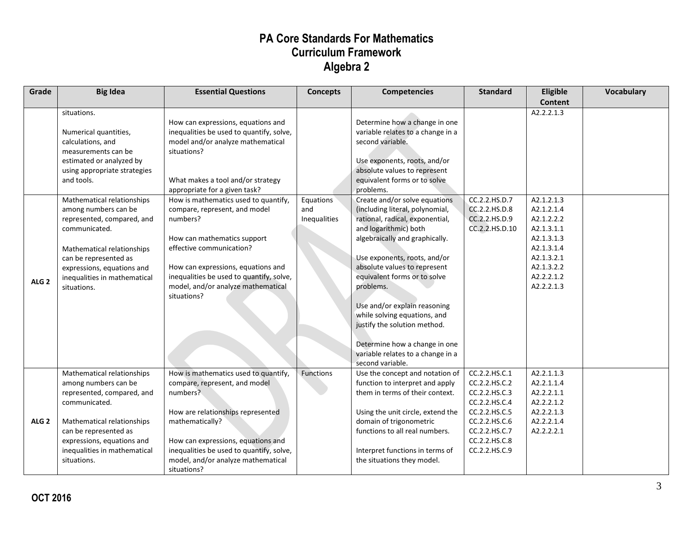| Grade            | <b>Big Idea</b>                                                                                                                                                                                                                       | <b>Essential Questions</b>                                                                                                                                                                                                                                                          | <b>Concepts</b>                  | <b>Competencies</b>                                                                                                                                                                                                                                                                                                                                                                                                                                                   | <b>Standard</b>                                                                                                                                       | Eligible                                                                                                                                 | <b>Vocabulary</b> |
|------------------|---------------------------------------------------------------------------------------------------------------------------------------------------------------------------------------------------------------------------------------|-------------------------------------------------------------------------------------------------------------------------------------------------------------------------------------------------------------------------------------------------------------------------------------|----------------------------------|-----------------------------------------------------------------------------------------------------------------------------------------------------------------------------------------------------------------------------------------------------------------------------------------------------------------------------------------------------------------------------------------------------------------------------------------------------------------------|-------------------------------------------------------------------------------------------------------------------------------------------------------|------------------------------------------------------------------------------------------------------------------------------------------|-------------------|
|                  | situations.<br>Numerical quantities,<br>calculations, and<br>measurements can be<br>estimated or analyzed by<br>using appropriate strategies<br>and tools.                                                                            | How can expressions, equations and<br>inequalities be used to quantify, solve,<br>model and/or analyze mathematical<br>situations?<br>What makes a tool and/or strategy<br>appropriate for a given task?                                                                            |                                  | Determine how a change in one<br>variable relates to a change in a<br>second variable.<br>Use exponents, roots, and/or<br>absolute values to represent<br>equivalent forms or to solve<br>problems.                                                                                                                                                                                                                                                                   |                                                                                                                                                       | <b>Content</b><br>A2.2.2.1.3                                                                                                             |                   |
| ALG <sub>2</sub> | Mathematical relationships<br>among numbers can be<br>represented, compared, and<br>communicated.<br>Mathematical relationships<br>can be represented as<br>expressions, equations and<br>inequalities in mathematical<br>situations. | How is mathematics used to quantify,<br>compare, represent, and model<br>numbers?<br>How can mathematics support<br>effective communication?<br>How can expressions, equations and<br>inequalities be used to quantify, solve,<br>model, and/or analyze mathematical<br>situations? | Equations<br>and<br>Inequalities | Create and/or solve equations<br>(including literal, polynomial,<br>rational, radical, exponential,<br>and logarithmic) both<br>algebraically and graphically.<br>Use exponents, roots, and/or<br>absolute values to represent<br>equivalent forms or to solve<br>problems.<br>Use and/or explain reasoning<br>while solving equations, and<br>justify the solution method.<br>Determine how a change in one<br>variable relates to a change in a<br>second variable. | CC.2.2.HS.D.7<br>CC.2.2.HS.D.8<br>CC.2.2.HS.D.9<br>CC.2.2.HS.D.10                                                                                     | A2.1.2.1.3<br>A2.1.2.1.4<br>A2.1.2.2.2<br>A2.1.3.1.1<br>A2.1.3.1.3<br>A2.1.3.1.4<br>A2.1.3.2.1<br>A2.1.3.2.2<br>A2.2.2.1.2<br>A2.2.2.1.3 |                   |
| ALG <sub>2</sub> | Mathematical relationships<br>among numbers can be<br>represented, compared, and<br>communicated.<br>Mathematical relationships<br>can be represented as<br>expressions, equations and<br>inequalities in mathematical<br>situations. | How is mathematics used to quantify,<br>compare, represent, and model<br>numbers?<br>How are relationships represented<br>mathematically?<br>How can expressions, equations and<br>inequalities be used to quantify, solve,<br>model, and/or analyze mathematical<br>situations?    | Functions                        | Use the concept and notation of<br>function to interpret and apply<br>them in terms of their context.<br>Using the unit circle, extend the<br>domain of trigonometric<br>functions to all real numbers.<br>Interpret functions in terms of<br>the situations they model.                                                                                                                                                                                              | CC.2.2.HS.C.1<br>CC.2.2.HS.C.2<br>CC.2.2.HS.C.3<br>CC.2.2.HS.C.4<br>CC.2.2.HS.C.5<br>CC.2.2.HS.C.6<br>CC.2.2.HS.C.7<br>CC.2.2.HS.C.8<br>CC.2.2.HS.C.9 | A2.2.1.1.3<br>A2.2.1.1.4<br>A2.2.2.1.1<br>A2.2.2.1.2<br>A2.2.2.1.3<br>A2.2.2.1.4<br>A2.2.2.2.1                                           |                   |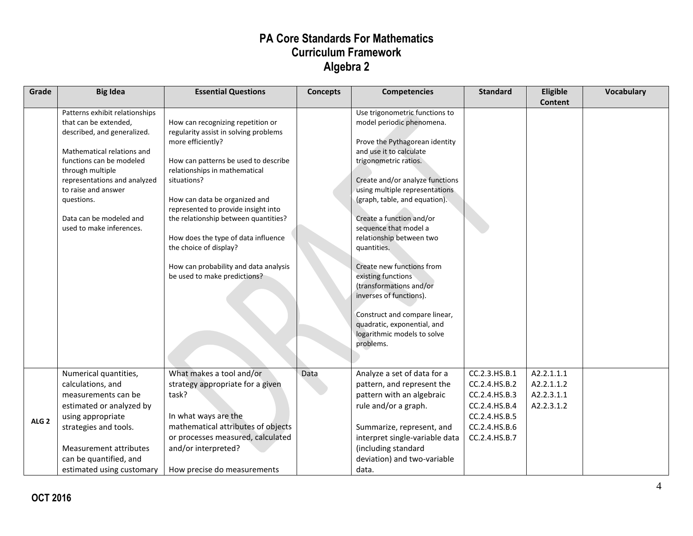| Grade            | <b>Big Idea</b>                                                                                                                                                                                                                                                                                  | <b>Essential Questions</b>                                                                                                                                                                                                                                                                                                                                                                                                                        | <b>Concepts</b> | <b>Competencies</b>                                                                                                                                                                                                                                                                                                                                                                                                                                                                                                                                                          | <b>Standard</b>                                                                                                     | Eligible<br><b>Content</b>                           | Vocabulary |
|------------------|--------------------------------------------------------------------------------------------------------------------------------------------------------------------------------------------------------------------------------------------------------------------------------------------------|---------------------------------------------------------------------------------------------------------------------------------------------------------------------------------------------------------------------------------------------------------------------------------------------------------------------------------------------------------------------------------------------------------------------------------------------------|-----------------|------------------------------------------------------------------------------------------------------------------------------------------------------------------------------------------------------------------------------------------------------------------------------------------------------------------------------------------------------------------------------------------------------------------------------------------------------------------------------------------------------------------------------------------------------------------------------|---------------------------------------------------------------------------------------------------------------------|------------------------------------------------------|------------|
|                  | Patterns exhibit relationships<br>that can be extended,<br>described, and generalized.<br>Mathematical relations and<br>functions can be modeled<br>through multiple<br>representations and analyzed<br>to raise and answer<br>questions.<br>Data can be modeled and<br>used to make inferences. | How can recognizing repetition or<br>regularity assist in solving problems<br>more efficiently?<br>How can patterns be used to describe<br>relationships in mathematical<br>situations?<br>How can data be organized and<br>represented to provide insight into<br>the relationship between quantities?<br>How does the type of data influence<br>the choice of display?<br>How can probability and data analysis<br>be used to make predictions? |                 | Use trigonometric functions to<br>model periodic phenomena.<br>Prove the Pythagorean identity<br>and use it to calculate<br>trigonometric ratios.<br>Create and/or analyze functions<br>using multiple representations<br>(graph, table, and equation).<br>Create a function and/or<br>sequence that model a<br>relationship between two<br>quantities.<br>Create new functions from<br>existing functions<br>(transformations and/or<br>inverses of functions).<br>Construct and compare linear,<br>quadratic, exponential, and<br>logarithmic models to solve<br>problems. |                                                                                                                     |                                                      |            |
| ALG <sub>2</sub> | Numerical quantities,<br>calculations, and<br>measurements can be<br>estimated or analyzed by<br>using appropriate<br>strategies and tools.<br>Measurement attributes<br>can be quantified, and<br>estimated using customary                                                                     | What makes a tool and/or<br>strategy appropriate for a given<br>task?<br>In what ways are the<br>mathematical attributes of objects<br>or processes measured, calculated<br>and/or interpreted?<br>How precise do measurements                                                                                                                                                                                                                    | Data            | Analyze a set of data for a<br>pattern, and represent the<br>pattern with an algebraic<br>rule and/or a graph.<br>Summarize, represent, and<br>interpret single-variable data<br>(including standard<br>deviation) and two-variable<br>data.                                                                                                                                                                                                                                                                                                                                 | CC.2.3.HS.B.1<br>CC.2.4.HS.B.2<br>CC.2.4.HS.B.3<br>CC.2.4.HS.B.4<br>CC.2.4.HS.B.5<br>CC.2.4.HS.B.6<br>CC.2.4.HS.B.7 | A2.2.1.1.1<br>A2.2.1.1.2<br>A2.2.3.1.1<br>A2.2.3.1.2 |            |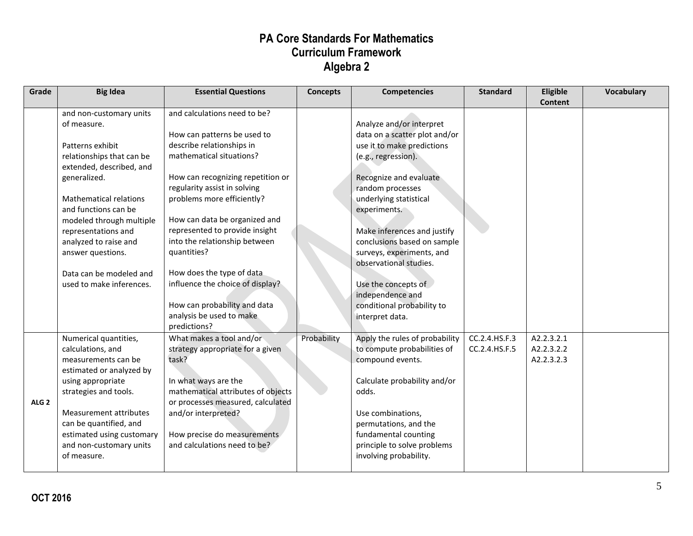| Grade            | <b>Big Idea</b>                                                                                                                                                                                                                                                                                                                                      | <b>Essential Questions</b>                                                                                                                                                                                                                                                                                                                                                                                                                                                              | <b>Concepts</b> | <b>Competencies</b>                                                                                                                                                                                                                                                                                                                                                                                                     | <b>Standard</b>                | Eligible<br><b>Content</b>             | Vocabulary |
|------------------|------------------------------------------------------------------------------------------------------------------------------------------------------------------------------------------------------------------------------------------------------------------------------------------------------------------------------------------------------|-----------------------------------------------------------------------------------------------------------------------------------------------------------------------------------------------------------------------------------------------------------------------------------------------------------------------------------------------------------------------------------------------------------------------------------------------------------------------------------------|-----------------|-------------------------------------------------------------------------------------------------------------------------------------------------------------------------------------------------------------------------------------------------------------------------------------------------------------------------------------------------------------------------------------------------------------------------|--------------------------------|----------------------------------------|------------|
|                  | and non-customary units<br>of measure.<br>Patterns exhibit<br>relationships that can be<br>extended, described, and<br>generalized.<br><b>Mathematical relations</b><br>and functions can be<br>modeled through multiple<br>representations and<br>analyzed to raise and<br>answer questions.<br>Data can be modeled and<br>used to make inferences. | and calculations need to be?<br>How can patterns be used to<br>describe relationships in<br>mathematical situations?<br>How can recognizing repetition or<br>regularity assist in solving<br>problems more efficiently?<br>How can data be organized and<br>represented to provide insight<br>into the relationship between<br>quantities?<br>How does the type of data<br>influence the choice of display?<br>How can probability and data<br>analysis be used to make<br>predictions? |                 | Analyze and/or interpret<br>data on a scatter plot and/or<br>use it to make predictions<br>(e.g., regression).<br>Recognize and evaluate<br>random processes<br>underlying statistical<br>experiments.<br>Make inferences and justify<br>conclusions based on sample<br>surveys, experiments, and<br>observational studies.<br>Use the concepts of<br>independence and<br>conditional probability to<br>interpret data. |                                |                                        |            |
| ALG <sub>2</sub> | Numerical quantities,<br>calculations, and<br>measurements can be<br>estimated or analyzed by<br>using appropriate<br>strategies and tools.<br>Measurement attributes<br>can be quantified, and<br>estimated using customary<br>and non-customary units<br>of measure.                                                                               | What makes a tool and/or<br>strategy appropriate for a given<br>task?<br>In what ways are the<br>mathematical attributes of objects<br>or processes measured, calculated<br>and/or interpreted?<br>How precise do measurements<br>and calculations need to be?                                                                                                                                                                                                                          | Probability     | Apply the rules of probability<br>to compute probabilities of<br>compound events.<br>Calculate probability and/or<br>odds.<br>Use combinations,<br>permutations, and the<br>fundamental counting<br>principle to solve problems<br>involving probability.                                                                                                                                                               | CC.2.4.HS.F.3<br>CC.2.4.HS.F.5 | A2.2.3.2.1<br>A2.2.3.2.2<br>A2.2.3.2.3 |            |